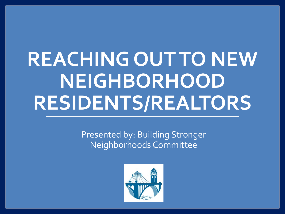# **REACHING OUT TO NEW NEIGHBORHOOD RESIDENTS/REALTORS**

Presented by: Building Stronger Neighborhoods Committee

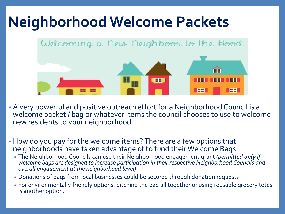#### **Neighborhood Welcome Packets**



- A very powerful and positive outreach effort for a Neighborhood Council is a welcome packet / bag or whatever items the council chooses to use to welcome new residents to your neighborhood.
- How do you pay for the welcome items? There are a few options that neighborhoods have taken advantage of to fund their Welcome Bags:
	- The Neighborhood Councils can use their Neighborhood engagement grant *(permitted only if welcome bags are designed to increase participation in their respective Neighborhood Councils and overall engagement at the neighborhood level)*
	- Donations of bags from local businesses could be secured through donation requests
	- For environmentally friendly options, ditching the bag all together or using reusable grocery totes is another option.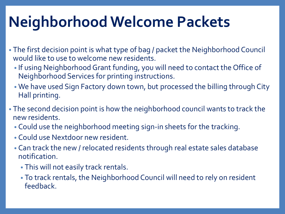## **Neighborhood Welcome Packets**

- The first decision point is what type of bag / packet the Neighborhood Council would like to use to welcome new residents.
	- If using Neighborhood Grant funding, you will need to contact the Office of Neighborhood Services for printing instructions.
	- We have used Sign Factory down town, but processed the billing through City Hall printing.
- The second decision point is how the neighborhood council wants to track the new residents.
	- Could use the neighborhood meeting sign-in sheets for the tracking.
	- Could use Nextdoor new resident.
	- Can track the new / relocated residents through real estate sales database notification.
		- This will not easily track rentals.
		- To track rentals, the Neighborhood Council will need to rely on resident feedback.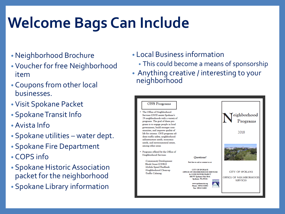## **Welcome Bags Can Include**

- Neighborhood Brochure
- Voucher for free Neighborhood item
- Coupons from other local businesses.
- Visit Spokane Packet
- Spokane Transit Info
- Avista Info
- Spokane utilities water dept.
- Spokane Fire Department
- COPS info
- Spokane Historic Association packet for the neighborhood
- Spokane Library information
- Local Business information
	- This could become a means of sponsorship
- Anything creative / interesting to your neighborhood